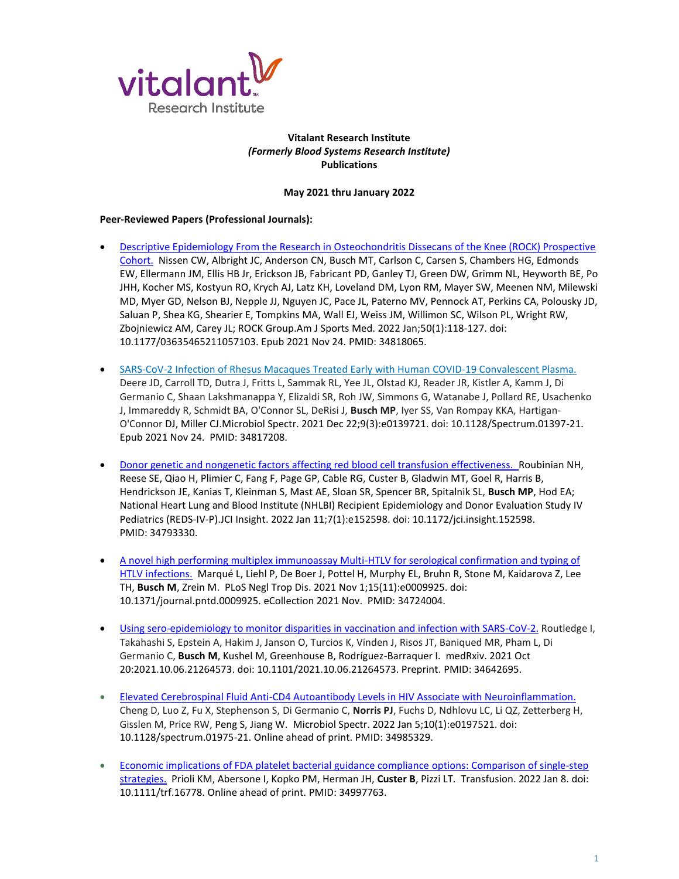

## **Vitalant Research Institute** *(Formerly Blood Systems Research Institute)* **Publications**

## **May 2021 thru January 2022**

## **Peer-Reviewed Papers (Professional Journals):**

- [Descriptive Epidemiology From the Research in Osteochondritis Dissecans of the Knee \(ROCK\) Prospective](https://pubmed.ncbi.nlm.nih.gov/34818065/)  [Cohort.](https://pubmed.ncbi.nlm.nih.gov/34818065/) Nissen CW, Albright JC, Anderson CN, Busch MT, Carlson C, Carsen S, Chambers HG, Edmonds EW, Ellermann JM, Ellis HB Jr, Erickson JB, Fabricant PD, Ganley TJ, Green DW, Grimm NL, Heyworth BE, Po JHH, Kocher MS, Kostyun RO, Krych AJ, Latz KH, Loveland DM, Lyon RM, Mayer SW, Meenen NM, Milewski MD, Myer GD, Nelson BJ, Nepple JJ, Nguyen JC, Pace JL, Paterno MV, Pennock AT, Perkins CA, Polousky JD, Saluan P, Shea KG, Shearier E, Tompkins MA, Wall EJ, Weiss JM, Willimon SC, Wilson PL, Wright RW, Zbojniewicz AM, Carey JL; ROCK Group.Am J Sports Med. 2022 Jan;50(1):118-127. doi: 10.1177/03635465211057103. Epub 2021 Nov 24. PMID: 34818065.
- [SARS-CoV-2 Infection of Rhesus Macaques Treated Early with Human COVID-19 Convalescent Plasma.](https://pubmed.ncbi.nlm.nih.gov/34817208/)  Deere JD, Carroll TD, Dutra J, Fritts L, Sammak RL, Yee JL, Olstad KJ, Reader JR, Kistler A, Kamm J, Di Germanio C, Shaan Lakshmanappa Y, Elizaldi SR, Roh JW, Simmons G, Watanabe J, Pollard RE, Usachenko J, Immareddy R, Schmidt BA, O'Connor SL, DeRisi J, **Busch MP**, Iyer SS, Van Rompay KKA, Hartigan-O'Connor DJ, Miller CJ.Microbiol Spectr. 2021 Dec 22;9(3):e0139721. doi: 10.1128/Spectrum.01397-21. Epub 2021 Nov 24. PMID: 34817208.
- [Donor genetic and nongenetic factors affecting red blood cell transfusion effectiveness.](https://pubmed.ncbi.nlm.nih.gov/34793330/) Roubinian NH, Reese SE, Qiao H, Plimier C, Fang F, Page GP, Cable RG, Custer B, Gladwin MT, Goel R, Harris B, Hendrickson JE, Kanias T, Kleinman S, Mast AE, Sloan SR, Spencer BR, Spitalnik SL, **Busch MP**, Hod EA; National Heart Lung and Blood Institute (NHLBI) Recipient Epidemiology and Donor Evaluation Study IV Pediatrics (REDS-IV-P).JCI Insight. 2022 Jan 11;7(1):e152598. doi: 10.1172/jci.insight.152598. PMID: 34793330.
- [A novel high performing multiplex immunoassay Multi-HTLV for serological confirmation and typing of](https://pubmed.ncbi.nlm.nih.gov/34724004/)  [HTLV infections.](https://pubmed.ncbi.nlm.nih.gov/34724004/) Marqué L, Liehl P, De Boer J, Pottel H, Murphy EL, Bruhn R, Stone M, Kaidarova Z, Lee TH, **Busch M**, Zrein M. PLoS Negl Trop Dis. 2021 Nov 1;15(11):e0009925. doi: 10.1371/journal.pntd.0009925. eCollection 2021 Nov. PMID: 34724004.
- [Using sero-epidemiology to monitor disparities in vaccination and infection with SARS-CoV-2.](https://pubmed.ncbi.nlm.nih.gov/34642695/) Routledge I, Takahashi S, Epstein A, Hakim J, Janson O, Turcios K, Vinden J, Risos JT, Baniqued MR, Pham L, Di Germanio C, **Busch M**, Kushel M, Greenhouse B, Rodríguez-Barraquer I. medRxiv. 2021 Oct 20:2021.10.06.21264573. doi: 10.1101/2021.10.06.21264573. Preprint. PMID: 34642695.
- [Elevated Cerebrospinal Fluid Anti-CD4 Autoantibody Levels in HIV Associate with Neuroinflammation.](https://pubmed.ncbi.nlm.nih.gov/34985329/)  Cheng D, Luo Z, Fu X, Stephenson S, Di Germanio C, **Norris PJ**, Fuchs D, Ndhlovu LC, Li QZ, Zetterberg H, Gisslen M, Price RW, Peng S, Jiang W. Microbiol Spectr. 2022 Jan 5;10(1):e0197521. doi: 10.1128/spectrum.01975-21. Online ahead of print. PMID: 34985329.
- [Economic implications of FDA platelet bacterial guidance compliance options: Comparison of single-step](https://pubmed.ncbi.nlm.nih.gov/34997763/)  [strategies.](https://pubmed.ncbi.nlm.nih.gov/34997763/) Prioli KM, Abersone I, Kopko PM, Herman JH, **Custer B**, Pizzi LT. Transfusion. 2022 Jan 8. doi: 10.1111/trf.16778. Online ahead of print. PMID: 34997763.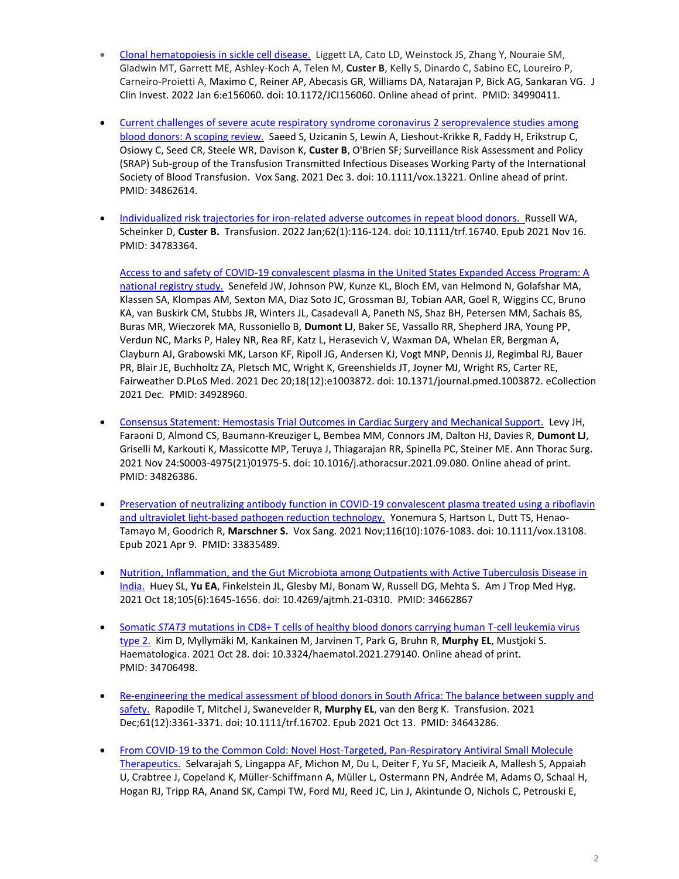- [Clonal hematopoiesis in sickle cell disease.](https://pubmed.ncbi.nlm.nih.gov/34990411/) Liggett LA, Cato LD, Weinstock JS, Zhang Y, Nouraie SM, Gladwin MT, Garrett ME, Ashley-Koch A, Telen M, **Custer B**, Kelly S, Dinardo C, Sabino EC, Loureiro P, Carneiro-Proietti A, Maximo C, Reiner AP, Abecasis GR, Williams DA, Natarajan P, Bick AG, Sankaran VG. J Clin Invest. 2022 Jan 6:e156060. doi: 10.1172/JCI156060. Online ahead of print. PMID: 34990411.
- [Current challenges of severe acute respiratory syndrome coronavirus 2 seroprevalence studies among](https://pubmed.ncbi.nlm.nih.gov/34862614/)  [blood donors: A scoping review.](https://pubmed.ncbi.nlm.nih.gov/34862614/) Saeed S, Uzicanin S, Lewin A, Lieshout-Krikke R, Faddy H, Erikstrup C, Osiowy C, Seed CR, Steele WR, Davison K, **Custer B**, O'Brien SF; Surveillance Risk Assessment and Policy (SRAP) Sub-group of the Transfusion Transmitted Infectious Diseases Working Party of the International Society of Blood Transfusion. Vox Sang. 2021 Dec 3. doi: 10.1111/vox.13221. Online ahead of print. PMID: 34862614.
- [Individualized risk trajectories for iron-related adverse outcomes in repeat blood donors.](https://pubmed.ncbi.nlm.nih.gov/34783364/) Russell WA, Scheinker D, **Custer B.** Transfusion. 2022 Jan;62(1):116-124. doi: 10.1111/trf.16740. Epub 2021 Nov 16. PMID: 34783364.

[Access to and safety of COVID-19 convalescent plasma in the United States Expanded Access Program: A](https://pubmed.ncbi.nlm.nih.gov/34928960/)  [national registry study.](https://pubmed.ncbi.nlm.nih.gov/34928960/) Senefeld JW, Johnson PW, Kunze KL, Bloch EM, van Helmond N, Golafshar MA, Klassen SA, Klompas AM, Sexton MA, Diaz Soto JC, Grossman BJ, Tobian AAR, Goel R, Wiggins CC, Bruno KA, van Buskirk CM, Stubbs JR, Winters JL, Casadevall A, Paneth NS, Shaz BH, Petersen MM, Sachais BS, Buras MR, Wieczorek MA, Russoniello B, **Dumont LJ**, Baker SE, Vassallo RR, Shepherd JRA, Young PP, Verdun NC, Marks P, Haley NR, Rea RF, Katz L, Herasevich V, Waxman DA, Whelan ER, Bergman A, Clayburn AJ, Grabowski MK, Larson KF, Ripoll JG, Andersen KJ, Vogt MNP, Dennis JJ, Regimbal RJ, Bauer PR, Blair JE, Buchholtz ZA, Pletsch MC, Wright K, Greenshields JT, Joyner MJ, Wright RS, Carter RE, Fairweather D.PLoS Med. 2021 Dec 20;18(12):e1003872. doi: 10.1371/journal.pmed.1003872. eCollection 2021 Dec. PMID: 34928960.

- [Consensus Statement: Hemostasis Trial Outcomes in Cardiac Surgery and Mechanical Support.](https://pubmed.ncbi.nlm.nih.gov/34826386/) Levy JH, Faraoni D, Almond CS, Baumann-Kreuziger L, Bembea MM, Connors JM, Dalton HJ, Davies R, **Dumont LJ**, Griselli M, Karkouti K, Massicotte MP, Teruya J, Thiagarajan RR, Spinella PC, Steiner ME. Ann Thorac Surg. 2021 Nov 24:S0003-4975(21)01975-5. doi: 10.1016/j.athoracsur.2021.09.080. Online ahead of print. PMID: 34826386.
- Preservation of neutralizing antibody function in COVID-19 convalescent plasma treated using a riboflavin [and ultraviolet light-based pathogen reduction technology.](https://pubmed.ncbi.nlm.nih.gov/33835489/) Yonemura S, Hartson L, Dutt TS, Henao-Tamayo M, Goodrich R, **Marschner S.** Vox Sang. 2021 Nov;116(10):1076-1083. doi: 10.1111/vox.13108. Epub 2021 Apr 9. PMID: 33835489.
- [Nutrition, Inflammation, and the Gut Microbiota among Outpatients with Active Tuberculosis Disease in](https://pubmed.ncbi.nlm.nih.gov/34662867/)  [India.](https://pubmed.ncbi.nlm.nih.gov/34662867/) Huey SL, **Yu EA**, Finkelstein JL, Glesby MJ, Bonam W, Russell DG, Mehta S. Am J Trop Med Hyg. 2021 Oct 18;105(6):1645-1656. doi: 10.4269/ajtmh.21-0310. PMID: 34662867
- Somatic *STAT3* [mutations in CD8+ T cells of healthy blood donors carrying human T-cell leukemia virus](https://pubmed.ncbi.nlm.nih.gov/34706498/)  [type 2.](https://pubmed.ncbi.nlm.nih.gov/34706498/) Kim D, Myllymäki M, Kankainen M, Jarvinen T, Park G, Bruhn R, **Murphy EL**, Mustjoki S. Haematologica. 2021 Oct 28. doi: 10.3324/haematol.2021.279140. Online ahead of print. PMID: 34706498.
- [Re-engineering the medical assessment of blood donors in South Africa: The balance between supply and](https://pubmed.ncbi.nlm.nih.gov/34643286/)  [safety.](https://pubmed.ncbi.nlm.nih.gov/34643286/) Rapodile T, Mitchel J, Swanevelder R, **Murphy EL**, van den Berg K. Transfusion. 2021 Dec;61(12):3361-3371. doi: 10.1111/trf.16702. Epub 2021 Oct 13. PMID: 34643286.
- [From COVID-19 to the Common Cold: Novel Host-Targeted, Pan-Respiratory Antiviral Small Molecule](https://pubmed.ncbi.nlm.nih.gov/34931190/)  [Therapeutics.](https://pubmed.ncbi.nlm.nih.gov/34931190/) Selvarajah S, Lingappa AF, Michon M, Du L, Deiter F, Yu SF, Macieik A, Mallesh S, Appaiah U, Crabtree J, Copeland K, Müller-Schiffmann A, Müller L, Ostermann PN, Andrée M, Adams O, Schaal H, Hogan RJ, Tripp RA, Anand SK, Campi TW, Ford MJ, Reed JC, Lin J, Akintunde O, Nichols C, Petrouski E,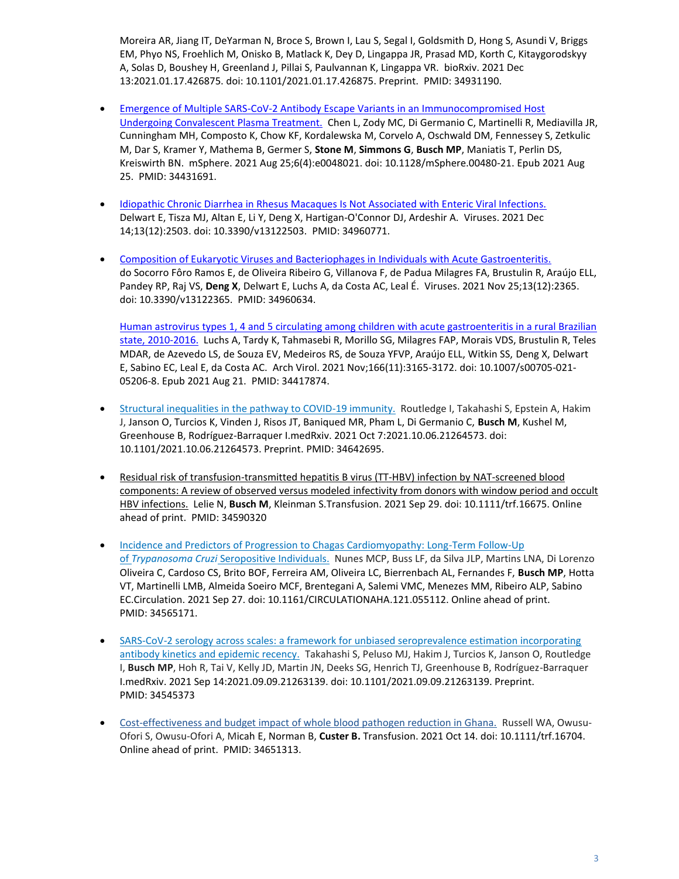Moreira AR, Jiang IT, DeYarman N, Broce S, Brown I, Lau S, Segal I, Goldsmith D, Hong S, Asundi V, Briggs EM, Phyo NS, Froehlich M, Onisko B, Matlack K, Dey D, Lingappa JR, Prasad MD, Korth C, Kitaygorodskyy A, Solas D, Boushey H, Greenland J, Pillai S, Paulvannan K, Lingappa VR. bioRxiv. 2021 Dec 13:2021.01.17.426875. doi: 10.1101/2021.01.17.426875. Preprint. PMID: 34931190.

- [Emergence of Multiple SARS-CoV-2 Antibody Escape Variants in an Immunocompromised Host](https://pubmed.ncbi.nlm.nih.gov/34431691/)  [Undergoing Convalescent Plasma Treatment.](https://pubmed.ncbi.nlm.nih.gov/34431691/) Chen L, Zody MC, Di Germanio C, Martinelli R, Mediavilla JR, Cunningham MH, Composto K, Chow KF, Kordalewska M, Corvelo A, Oschwald DM, Fennessey S, Zetkulic M, Dar S, Kramer Y, Mathema B, Germer S, **Stone M**, **Simmons G**, **Busch MP**, Maniatis T, Perlin DS, Kreiswirth BN. mSphere. 2021 Aug 25;6(4):e0048021. doi: 10.1128/mSphere.00480-21. Epub 2021 Aug 25. PMID: 34431691.
- [Idiopathic Chronic Diarrhea in Rhesus Macaques Is Not Associated with Enteric Viral Infections.](https://pubmed.ncbi.nlm.nih.gov/34960771/) Delwart E, Tisza MJ, Altan E, Li Y, Deng X, Hartigan-O'Connor DJ, Ardeshir A. Viruses. 2021 Dec 14;13(12):2503. doi: 10.3390/v13122503. PMID: 34960771.
- [Composition of Eukaryotic Viruses and Bacteriophages in Individuals with Acute Gastroenteritis.](https://pubmed.ncbi.nlm.nih.gov/34960634/) do Socorro Fôro Ramos E, de Oliveira Ribeiro G, Villanova F, de Padua Milagres FA, Brustulin R, Araújo ELL, Pandey RP, Raj VS, **Deng X**, Delwart E, Luchs A, da Costa AC, Leal É. Viruses. 2021 Nov 25;13(12):2365. doi: 10.3390/v13122365. PMID: 34960634.

[Human astrovirus types 1, 4 and 5 circulating among children with acute gastroenteritis in a rural Brazilian](https://pubmed.ncbi.nlm.nih.gov/34417874/)  [state, 2010-2016.](https://pubmed.ncbi.nlm.nih.gov/34417874/) Luchs A, Tardy K, Tahmasebi R, Morillo SG, Milagres FAP, Morais VDS, Brustulin R, Teles MDAR, de Azevedo LS, de Souza EV, Medeiros RS, de Souza YFVP, Araújo ELL, Witkin SS, Deng X, Delwart E, Sabino EC, Leal E, da Costa AC. Arch Virol. 2021 Nov;166(11):3165-3172. doi: 10.1007/s00705-021- 05206-8. Epub 2021 Aug 21. PMID: 34417874.

- [Structural inequalities in the pathway to COVID-19 immunity.](https://pubmed.ncbi.nlm.nih.gov/34642695/) Routledge I, Takahashi S, Epstein A, Hakim J, Janson O, Turcios K, Vinden J, Risos JT, Baniqued MR, Pham L, Di Germanio C, **Busch M**, Kushel M, Greenhouse B, Rodríguez-Barraquer I.medRxiv. 2021 Oct 7:2021.10.06.21264573. doi: 10.1101/2021.10.06.21264573. Preprint. PMID: 34642695.
- [Residual risk of transfusion-transmitted hepatitis B virus \(TT-HBV\) infection by NAT-screened blood](https://pubmed.ncbi.nlm.nih.gov/34590320/)  [components: A review of observed versus modeled infectivity from donors with window period and occult](https://pubmed.ncbi.nlm.nih.gov/34590320/)  [HBV infections.](https://pubmed.ncbi.nlm.nih.gov/34590320/) Lelie N, **Busch M**, Kleinman S.Transfusion. 2021 Sep 29. doi: 10.1111/trf.16675. Online ahead of print. PMID: 34590320
- Incidence and Predictors of Progression to Chagas Cardiomyopathy: Long-Term Follow-Up of *Trypanosoma Cruzi* [Seropositive Individuals.](https://pubmed.ncbi.nlm.nih.gov/34565171/) Nunes MCP, Buss LF, da Silva JLP, Martins LNA, Di Lorenzo Oliveira C, Cardoso CS, Brito BOF, Ferreira AM, Oliveira LC, Bierrenbach AL, Fernandes F, **Busch MP**, Hotta VT, Martinelli LMB, Almeida Soeiro MCF, Brentegani A, Salemi VMC, Menezes MM, Ribeiro ALP, Sabino EC.Circulation. 2021 Sep 27. doi: 10.1161/CIRCULATIONAHA.121.055112. Online ahead of print. PMID: 34565171.
- [SARS-CoV-2 serology across scales: a framework for unbiased seroprevalence estimation incorporating](https://pubmed.ncbi.nlm.nih.gov/34545373/)  [antibody kinetics and epidemic recency.](https://pubmed.ncbi.nlm.nih.gov/34545373/) Takahashi S, Peluso MJ, Hakim J, Turcios K, Janson O, Routledge I, **Busch MP**, Hoh R, Tai V, Kelly JD, Martin JN, Deeks SG, Henrich TJ, Greenhouse B, Rodríguez-Barraquer I.medRxiv. 2021 Sep 14:2021.09.09.21263139. doi: 10.1101/2021.09.09.21263139. Preprint. PMID: 34545373
- [Cost-effectiveness and budget impact of whole blood pathogen reduction in Ghana.](https://pubmed.ncbi.nlm.nih.gov/34651313/) Russell WA, Owusu-Ofori S, Owusu-Ofori A, Micah E, Norman B, **Custer B.** Transfusion. 2021 Oct 14. doi: 10.1111/trf.16704. Online ahead of print. PMID: 34651313.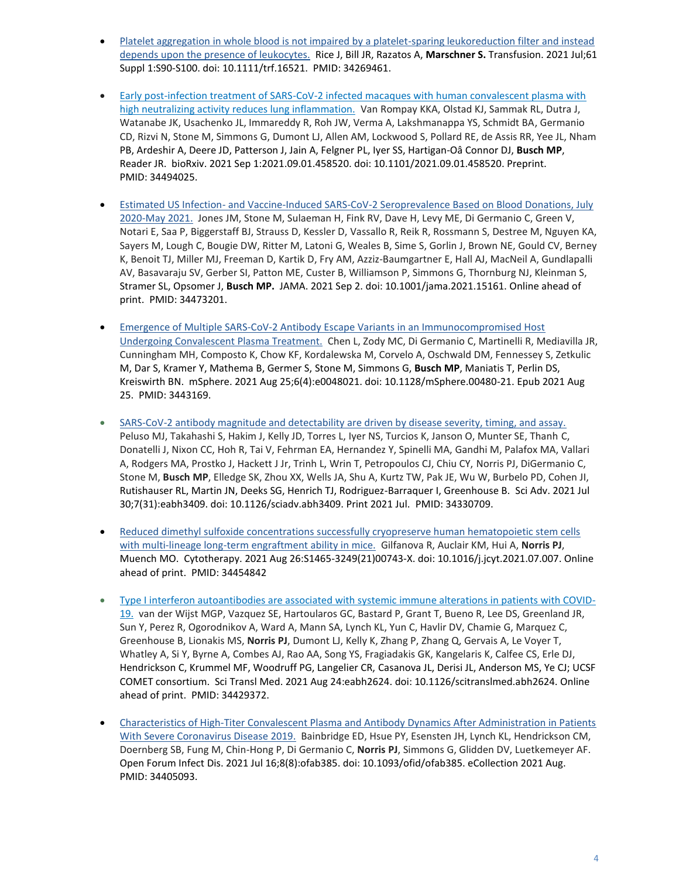- [Platelet aggregation in whole blood is not impaired by a platelet-sparing leukoreduction filter and instead](https://pubmed.ncbi.nlm.nih.gov/34269461/)  [depends upon the presence of leukocytes.](https://pubmed.ncbi.nlm.nih.gov/34269461/) Rice J, Bill JR, Razatos A, **Marschner S.** Transfusion. 2021 Jul;61 Suppl 1:S90-S100. doi: 10.1111/trf.16521. PMID: 34269461.
- [Early post-infection treatment of SARS-CoV-2 infected macaques with human convalescent plasma with](https://pubmed.ncbi.nlm.nih.gov/34494025/)  [high neutralizing activity reduces lung inflammation.](https://pubmed.ncbi.nlm.nih.gov/34494025/) Van Rompay KKA, Olstad KJ, Sammak RL, Dutra J, Watanabe JK, Usachenko JL, Immareddy R, Roh JW, Verma A, Lakshmanappa YS, Schmidt BA, Germanio CD, Rizvi N, Stone M, Simmons G, Dumont LJ, Allen AM, Lockwood S, Pollard RE, de Assis RR, Yee JL, Nham PB, Ardeshir A, Deere JD, Patterson J, Jain A, Felgner PL, Iyer SS, Hartigan-Oâ Connor DJ, **Busch MP**, Reader JR. bioRxiv. 2021 Sep 1:2021.09.01.458520. doi: 10.1101/2021.09.01.458520. Preprint. PMID: 34494025.
- Estimated US Infection- [and Vaccine-Induced SARS-CoV-2 Seroprevalence Based on Blood Donations, July](https://pubmed.ncbi.nlm.nih.gov/34473201/)  [2020-May 2021.](https://pubmed.ncbi.nlm.nih.gov/34473201/) Jones JM, Stone M, Sulaeman H, Fink RV, Dave H, Levy ME, Di Germanio C, Green V, Notari E, Saa P, Biggerstaff BJ, Strauss D, Kessler D, Vassallo R, Reik R, Rossmann S, Destree M, Nguyen KA, Sayers M, Lough C, Bougie DW, Ritter M, Latoni G, Weales B, Sime S, Gorlin J, Brown NE, Gould CV, Berney K, Benoit TJ, Miller MJ, Freeman D, Kartik D, Fry AM, Azziz-Baumgartner E, Hall AJ, MacNeil A, Gundlapalli AV, Basavaraju SV, Gerber SI, Patton ME, Custer B, Williamson P, Simmons G, Thornburg NJ, Kleinman S, Stramer SL, Opsomer J, **Busch MP.** JAMA. 2021 Sep 2. doi: 10.1001/jama.2021.15161. Online ahead of print. PMID: 34473201.
- [Emergence of Multiple SARS-CoV-2 Antibody Escape Variants in an Immunocompromised Host](https://pubmed.ncbi.nlm.nih.gov/34431691/)  [Undergoing Convalescent Plasma Treatment.](https://pubmed.ncbi.nlm.nih.gov/34431691/) Chen L, Zody MC, Di Germanio C, Martinelli R, Mediavilla JR, Cunningham MH, Composto K, Chow KF, Kordalewska M, Corvelo A, Oschwald DM, Fennessey S, Zetkulic M, Dar S, Kramer Y, Mathema B, Germer S, Stone M, Simmons G, **Busch MP**, Maniatis T, Perlin DS, Kreiswirth BN. mSphere. 2021 Aug 25;6(4):e0048021. doi: 10.1128/mSphere.00480-21. Epub 2021 Aug 25. PMID: 3443169.
- [SARS-CoV-2 antibody magnitude and detectability are driven by disease severity, timing, and assay.](https://pubmed.ncbi.nlm.nih.gov/34330709/)  Peluso MJ, Takahashi S, Hakim J, Kelly JD, Torres L, Iyer NS, Turcios K, Janson O, Munter SE, Thanh C, Donatelli J, Nixon CC, Hoh R, Tai V, Fehrman EA, Hernandez Y, Spinelli MA, Gandhi M, Palafox MA, Vallari A, Rodgers MA, Prostko J, Hackett J Jr, Trinh L, Wrin T, Petropoulos CJ, Chiu CY, Norris PJ, DiGermanio C, Stone M, **Busch MP**, Elledge SK, Zhou XX, Wells JA, Shu A, Kurtz TW, Pak JE, Wu W, Burbelo PD, Cohen JI, Rutishauser RL, Martin JN, Deeks SG, Henrich TJ, Rodriguez-Barraquer I, Greenhouse B. Sci Adv. 2021 Jul 30;7(31):eabh3409. doi: 10.1126/sciadv.abh3409. Print 2021 Jul. PMID: 34330709.
- [Reduced dimethyl sulfoxide concentrations successfully cryopreserve human hematopoietic stem cells](https://pubmed.ncbi.nlm.nih.gov/34454842/)  [with multi-lineage long-term engraftment ability in mice.](https://pubmed.ncbi.nlm.nih.gov/34454842/) Gilfanova R, Auclair KM, Hui A, **Norris PJ**, Muench MO. Cytotherapy. 2021 Aug 26:S1465-3249(21)00743-X. doi: 10.1016/j.jcyt.2021.07.007. Online ahead of print. PMID: 34454842
- [Type I interferon autoantibodies are associated with systemic immune alterations in patients with COVID-](https://pubmed.ncbi.nlm.nih.gov/34429372/)[19.](https://pubmed.ncbi.nlm.nih.gov/34429372/) van der Wijst MGP, Vazquez SE, Hartoularos GC, Bastard P, Grant T, Bueno R, Lee DS, Greenland JR, Sun Y, Perez R, Ogorodnikov A, Ward A, Mann SA, Lynch KL, Yun C, Havlir DV, Chamie G, Marquez C, Greenhouse B, Lionakis MS, **Norris PJ**, Dumont LJ, Kelly K, Zhang P, Zhang Q, Gervais A, Le Voyer T, Whatley A, Si Y, Byrne A, Combes AJ, Rao AA, Song YS, Fragiadakis GK, Kangelaris K, Calfee CS, Erle DJ, Hendrickson C, Krummel MF, Woodruff PG, Langelier CR, Casanova JL, Derisi JL, Anderson MS, Ye CJ; UCSF COMET consortium. Sci Transl Med. 2021 Aug 24:eabh2624. doi: 10.1126/scitranslmed.abh2624. Online ahead of print. PMID: 34429372.
- [Characteristics of High-Titer Convalescent Plasma and Antibody Dynamics After Administration in Patients](https://pubmed.ncbi.nlm.nih.gov/34405093/)  [With Severe Coronavirus Disease 2019.](https://pubmed.ncbi.nlm.nih.gov/34405093/) Bainbridge ED, Hsue PY, Esensten JH, Lynch KL, Hendrickson CM, Doernberg SB, Fung M, Chin-Hong P, Di Germanio C, **Norris PJ**, Simmons G, Glidden DV, Luetkemeyer AF. Open Forum Infect Dis. 2021 Jul 16;8(8):ofab385. doi: 10.1093/ofid/ofab385. eCollection 2021 Aug. PMID: 34405093.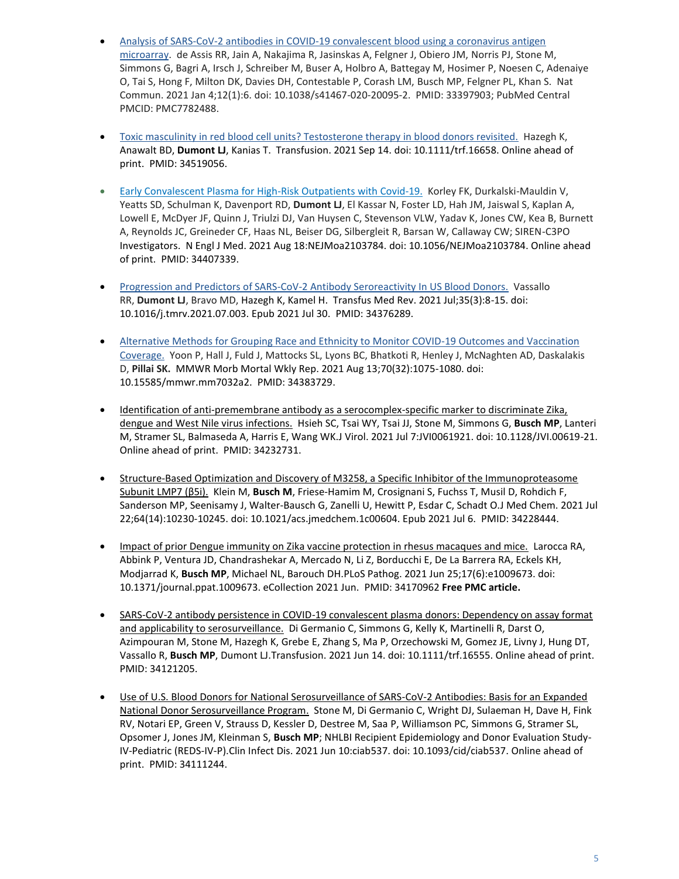- Analysis of SARS-CoV-2 antibodies in COVID-19 convalescent blood using a coronavirus antigen [microarray.](https://pubmed.ncbi.nlm.nih.gov/33397903/) de Assis RR, Jain A, Nakajima R, Jasinskas A, Felgner J, Obiero JM, Norris PJ, Stone M, Simmons G, Bagri A, Irsch J, Schreiber M, Buser A, Holbro A, Battegay M, Hosimer P, Noesen C, Adenaiye O, Tai S, Hong F, Milton DK, Davies DH, Contestable P, Corash LM, Busch MP, Felgner PL, Khan S. Nat Commun. 2021 Jan 4;12(1):6. doi: 10.1038/s41467-020-20095-2. PMID: 33397903; PubMed Central PMCID: PMC7782488.
- [Toxic masculinity in red blood cell units? Testosterone therapy in blood donors revisited.](https://pubmed.ncbi.nlm.nih.gov/34519056/) Hazegh K, Anawalt BD, **Dumont LJ**, Kanias T. Transfusion. 2021 Sep 14. doi: 10.1111/trf.16658. Online ahead of print. PMID: 34519056.
- [Early Convalescent Plasma for High-Risk Outpatients with Covid-19.](https://pubmed.ncbi.nlm.nih.gov/34407339/) Korley FK, Durkalski-Mauldin V, Yeatts SD, Schulman K, Davenport RD, **Dumont LJ**, El Kassar N, Foster LD, Hah JM, Jaiswal S, Kaplan A, Lowell E, McDyer JF, Quinn J, Triulzi DJ, Van Huysen C, Stevenson VLW, Yadav K, Jones CW, Kea B, Burnett A, Reynolds JC, Greineder CF, Haas NL, Beiser DG, Silbergleit R, Barsan W, Callaway CW; SIREN-C3PO Investigators. N Engl J Med. 2021 Aug 18:NEJMoa2103784. doi: 10.1056/NEJMoa2103784. Online ahead of print. PMID: 34407339.
- [Progression and Predictors of SARS-CoV-2 Antibody Seroreactivity In US Blood Donors.](https://pubmed.ncbi.nlm.nih.gov/34376289/) Vassallo RR, **Dumont LJ**, Bravo MD, Hazegh K, Kamel H. Transfus Med Rev. 2021 Jul;35(3):8-15. doi: 10.1016/j.tmrv.2021.07.003. Epub 2021 Jul 30. PMID: 34376289.
- Alternative Methods for Grouping Race and Ethnicity to Monitor COVID-19 Outcomes and Vaccination [Coverage.](https://pubmed.ncbi.nlm.nih.gov/34383729/) Yoon P, Hall J, Fuld J, Mattocks SL, Lyons BC, Bhatkoti R, Henley J, McNaghten AD, Daskalakis D, **Pillai SK.** MMWR Morb Mortal Wkly Rep. 2021 Aug 13;70(32):1075-1080. doi: 10.15585/mmwr.mm7032a2. PMID: 34383729.
- [Identification of anti-premembrane antibody as a serocomplex-specific marker to discriminate Zika,](https://pubmed.ncbi.nlm.nih.gov/34232731/)  [dengue and West Nile virus infections.](https://pubmed.ncbi.nlm.nih.gov/34232731/) Hsieh SC, Tsai WY, Tsai JJ, Stone M, Simmons G, **Busch MP**, Lanteri M, Stramer SL, Balmaseda A, Harris E, Wang WK.J Virol. 2021 Jul 7:JVI0061921. doi: 10.1128/JVI.00619-21. Online ahead of print. PMID: 34232731.
- [Structure-Based Optimization and Discovery of M3258, a Specific Inhibitor of the Immunoproteasome](https://pubmed.ncbi.nlm.nih.gov/34228444/)  [Subunit LMP7 \(β5i\).](https://pubmed.ncbi.nlm.nih.gov/34228444/) Klein M, **Busch M**, Friese-Hamim M, Crosignani S, Fuchss T, Musil D, Rohdich F, Sanderson MP, Seenisamy J, Walter-Bausch G, Zanelli U, Hewitt P, Esdar C, Schadt O.J Med Chem. 2021 Jul 22;64(14):10230-10245. doi: 10.1021/acs.jmedchem.1c00604. Epub 2021 Jul 6. PMID: 34228444.
- [Impact of prior Dengue immunity on Zika vaccine protection in rhesus macaques and mice.](https://pubmed.ncbi.nlm.nih.gov/34170962/) Larocca RA, Abbink P, Ventura JD, Chandrashekar A, Mercado N, Li Z, Borducchi E, De La Barrera RA, Eckels KH, Modjarrad K, **Busch MP**, Michael NL, Barouch DH.PLoS Pathog. 2021 Jun 25;17(6):e1009673. doi: 10.1371/journal.ppat.1009673. eCollection 2021 Jun. PMID: 34170962 **Free PMC article.**
- [SARS-CoV-2 antibody persistence in COVID-19 convalescent plasma donors: Dependency on assay format](https://pubmed.ncbi.nlm.nih.gov/34121205/)  [and applicability to serosurveillance.](https://pubmed.ncbi.nlm.nih.gov/34121205/) Di Germanio C, Simmons G, Kelly K, Martinelli R, Darst O, Azimpouran M, Stone M, Hazegh K, Grebe E, Zhang S, Ma P, Orzechowski M, Gomez JE, Livny J, Hung DT, Vassallo R, **Busch MP**, Dumont LJ.Transfusion. 2021 Jun 14. doi: 10.1111/trf.16555. Online ahead of print. PMID: 34121205.
- [Use of U.S. Blood Donors for National Serosurveillance of SARS-CoV-2 Antibodies: Basis for an Expanded](https://pubmed.ncbi.nlm.nih.gov/34111244/)  [National Donor Serosurveillance Program.](https://pubmed.ncbi.nlm.nih.gov/34111244/) Stone M, Di Germanio C, Wright DJ, Sulaeman H, Dave H, Fink RV, Notari EP, Green V, Strauss D, Kessler D, Destree M, Saa P, Williamson PC, Simmons G, Stramer SL, Opsomer J, Jones JM, Kleinman S, **Busch MP**; NHLBI Recipient Epidemiology and Donor Evaluation Study-IV-Pediatric (REDS-IV-P).Clin Infect Dis. 2021 Jun 10:ciab537. doi: 10.1093/cid/ciab537. Online ahead of print. PMID: 34111244.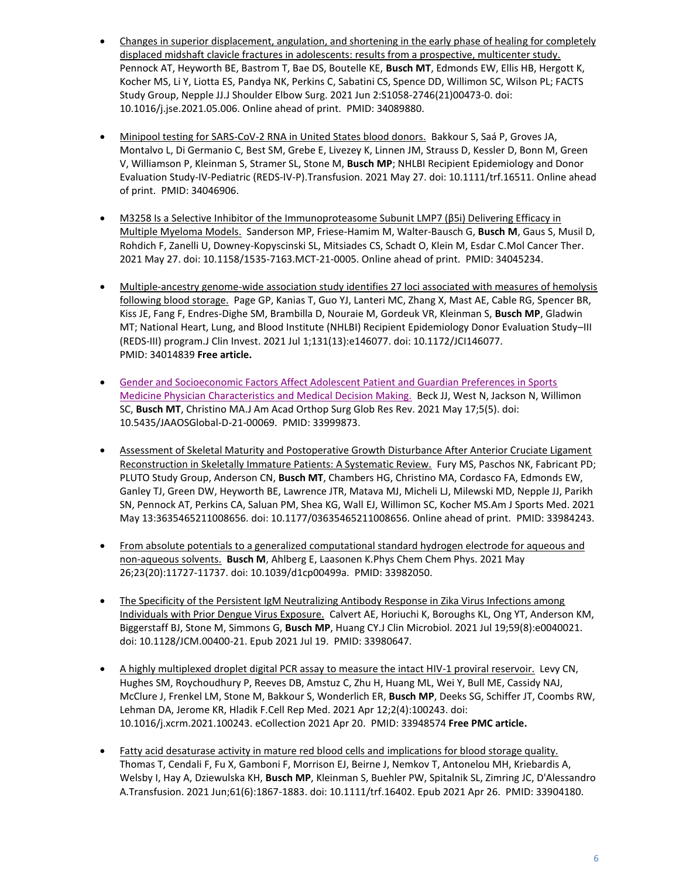- [Changes in superior displacement, angulation, and shortening in the early phase of healing for completely](https://pubmed.ncbi.nlm.nih.gov/34089880/)  displaced midshaft clavicle fractures in adolescents: results from a prospective, multicenter study. Pennock AT, Heyworth BE, Bastrom T, Bae DS, Boutelle KE, **Busch MT**, Edmonds EW, Ellis HB, Hergott K, Kocher MS, Li Y, Liotta ES, Pandya NK, Perkins C, Sabatini CS, Spence DD, Willimon SC, Wilson PL; FACTS Study Group, Nepple JJ.J Shoulder Elbow Surg. 2021 Jun 2:S1058-2746(21)00473-0. doi: 10.1016/j.jse.2021.05.006. Online ahead of print. PMID: 34089880.
- [Minipool testing for SARS-CoV-2 RNA in United States blood donors.](https://pubmed.ncbi.nlm.nih.gov/34046906/) Bakkour S, Saá P, Groves JA, Montalvo L, Di Germanio C, Best SM, Grebe E, Livezey K, Linnen JM, Strauss D, Kessler D, Bonn M, Green V, Williamson P, Kleinman S, Stramer SL, Stone M, **Busch MP**; NHLBI Recipient Epidemiology and Donor Evaluation Study-IV-Pediatric (REDS-IV-P).Transfusion. 2021 May 27. doi: 10.1111/trf.16511. Online ahead of print. PMID: 34046906.
- [M3258 Is a Selective Inhibitor of the Immunoproteasome Subunit LMP7 \(β5i\) Delivering Efficacy in](https://pubmed.ncbi.nlm.nih.gov/34045234/)  [Multiple Myeloma Models.](https://pubmed.ncbi.nlm.nih.gov/34045234/) Sanderson MP, Friese-Hamim M, Walter-Bausch G, **Busch M**, Gaus S, Musil D, Rohdich F, Zanelli U, Downey-Kopyscinski SL, Mitsiades CS, Schadt O, Klein M, Esdar C.Mol Cancer Ther. 2021 May 27. doi: 10.1158/1535-7163.MCT-21-0005. Online ahead of print. PMID: 34045234.
- [Multiple-ancestry genome-wide association study identifies 27 loci associated with measures of hemolysis](https://pubmed.ncbi.nlm.nih.gov/34014839/)  [following blood storage.](https://pubmed.ncbi.nlm.nih.gov/34014839/) Page GP, Kanias T, Guo YJ, Lanteri MC, Zhang X, Mast AE, Cable RG, Spencer BR, Kiss JE, Fang F, Endres-Dighe SM, Brambilla D, Nouraie M, Gordeuk VR, Kleinman S, **Busch MP**, Gladwin MT; National Heart, Lung, and Blood Institute (NHLBI) Recipient Epidemiology Donor Evaluation Study–III (REDS-III) program.J Clin Invest. 2021 Jul 1;131(13):e146077. doi: 10.1172/JCI146077. PMID: 34014839 **Free article.**
- [Gender and Socioeconomic Factors Affect Adolescent Patient and Guardian Preferences in Sports](https://pubmed.ncbi.nlm.nih.gov/33999873/)  [Medicine Physician Characteristics and Medical Decision Making.](https://pubmed.ncbi.nlm.nih.gov/33999873/) Beck JJ, West N, Jackson N, Willimon SC, **Busch MT**, Christino MA.J Am Acad Orthop Surg Glob Res Rev. 2021 May 17;5(5). doi: 10.5435/JAAOSGlobal-D-21-00069. PMID: 33999873.
- [Assessment of Skeletal Maturity and Postoperative Growth Disturbance After Anterior Cruciate Ligament](https://pubmed.ncbi.nlm.nih.gov/33984243/)  [Reconstruction in Skeletally Immature Patients: A Systematic Review.](https://pubmed.ncbi.nlm.nih.gov/33984243/) Fury MS, Paschos NK, Fabricant PD; PLUTO Study Group, Anderson CN, **Busch MT**, Chambers HG, Christino MA, Cordasco FA, Edmonds EW, Ganley TJ, Green DW, Heyworth BE, Lawrence JTR, Matava MJ, Micheli LJ, Milewski MD, Nepple JJ, Parikh SN, Pennock AT, Perkins CA, Saluan PM, Shea KG, Wall EJ, Willimon SC, Kocher MS.Am J Sports Med. 2021 May 13:3635465211008656. doi: 10.1177/03635465211008656. Online ahead of print. PMID: 33984243.
- [From absolute potentials to a generalized computational standard hydrogen electrode for aqueous and](https://pubmed.ncbi.nlm.nih.gov/33982050/)  [non-aqueous solvents.](https://pubmed.ncbi.nlm.nih.gov/33982050/) **Busch M**, Ahlberg E, Laasonen K.Phys Chem Chem Phys. 2021 May 26;23(20):11727-11737. doi: 10.1039/d1cp00499a. PMID: 33982050.
- The Specificity of the Persistent IgM Neutralizing Antibody Response in Zika Virus Infections among [Individuals with Prior Dengue Virus Exposure.](https://pubmed.ncbi.nlm.nih.gov/33980647/) Calvert AE, Horiuchi K, Boroughs KL, Ong YT, Anderson KM, Biggerstaff BJ, Stone M, Simmons G, **Busch MP**, Huang CY.J Clin Microbiol. 2021 Jul 19;59(8):e0040021. doi: 10.1128/JCM.00400-21. Epub 2021 Jul 19. PMID: 33980647.
- [A highly multiplexed droplet digital PCR assay to measure the intact HIV-1](https://pubmed.ncbi.nlm.nih.gov/33948574/) proviral reservoir. Levy CN, Hughes SM, Roychoudhury P, Reeves DB, Amstuz C, Zhu H, Huang ML, Wei Y, Bull ME, Cassidy NAJ, McClure J, Frenkel LM, Stone M, Bakkour S, Wonderlich ER, **Busch MP**, Deeks SG, Schiffer JT, Coombs RW, Lehman DA, Jerome KR, Hladik F.Cell Rep Med. 2021 Apr 12;2(4):100243. doi: 10.1016/j.xcrm.2021.100243. eCollection 2021 Apr 20. PMID: 33948574 **Free PMC article.**
- [Fatty acid desaturase activity in mature red blood cells and](https://pubmed.ncbi.nlm.nih.gov/33904180/) implications for blood storage quality. Thomas T, Cendali F, Fu X, Gamboni F, Morrison EJ, Beirne J, Nemkov T, Antonelou MH, Kriebardis A, Welsby I, Hay A, Dziewulska KH, **Busch MP**, Kleinman S, Buehler PW, Spitalnik SL, Zimring JC, D'Alessandro A.Transfusion. 2021 Jun;61(6):1867-1883. doi: 10.1111/trf.16402. Epub 2021 Apr 26. PMID: 33904180.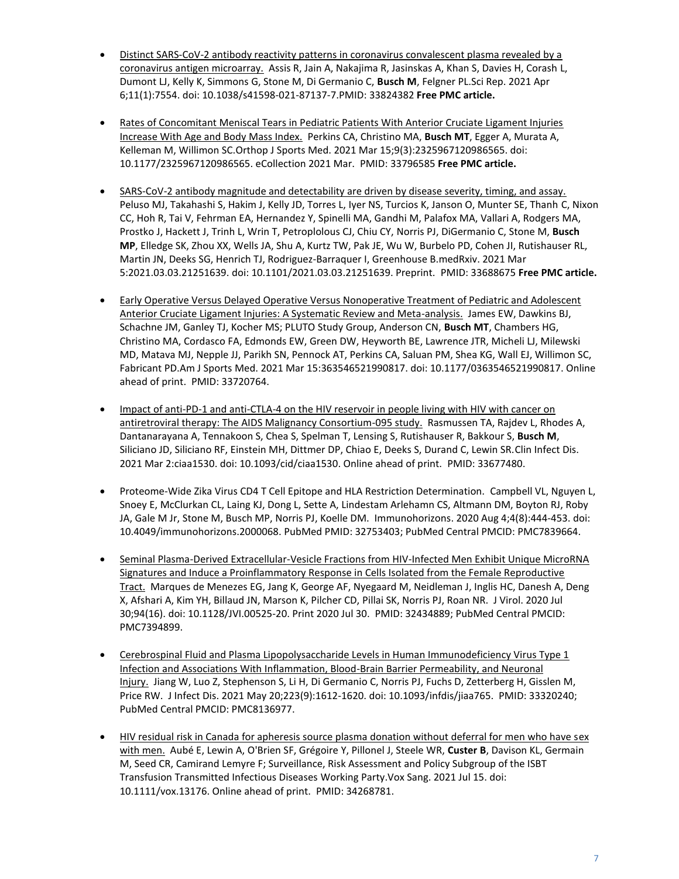- [Distinct SARS-CoV-2 antibody reactivity patterns in coronavirus convalescent plasma revealed by a](https://pubmed.ncbi.nlm.nih.gov/33824382/)  [coronavirus antigen microarray.](https://pubmed.ncbi.nlm.nih.gov/33824382/) Assis R, Jain A, Nakajima R, Jasinskas A, Khan S, Davies H, Corash L, Dumont LJ, Kelly K, Simmons G, Stone M, Di Germanio C, **Busch M**, Felgner PL.Sci Rep. 2021 Apr 6;11(1):7554. doi: 10.1038/s41598-021-87137-7.PMID: 33824382 **Free PMC article.**
- [Rates of Concomitant Meniscal Tears in Pediatric Patients With Anterior Cruciate Ligament Injuries](https://pubmed.ncbi.nlm.nih.gov/33796585/)  [Increase With Age and Body Mass Index.](https://pubmed.ncbi.nlm.nih.gov/33796585/) Perkins CA, Christino MA, **Busch MT**, Egger A, Murata A, Kelleman M, Willimon SC.Orthop J Sports Med. 2021 Mar 15;9(3):2325967120986565. doi: 10.1177/2325967120986565. eCollection 2021 Mar. PMID: 33796585 **Free PMC article.**
- [SARS-CoV-2 antibody magnitude and detectability are driven by disease severity, timing, and assay.](https://pubmed.ncbi.nlm.nih.gov/33688675/)  Peluso MJ, Takahashi S, Hakim J, Kelly JD, Torres L, Iyer NS, Turcios K, Janson O, Munter SE, Thanh C, Nixon CC, Hoh R, Tai V, Fehrman EA, Hernandez Y, Spinelli MA, Gandhi M, Palafox MA, Vallari A, Rodgers MA, Prostko J, Hackett J, Trinh L, Wrin T, Petroplolous CJ, Chiu CY, Norris PJ, DiGermanio C, Stone M, **Busch MP**, Elledge SK, Zhou XX, Wells JA, Shu A, Kurtz TW, Pak JE, Wu W, Burbelo PD, Cohen JI, Rutishauser RL, Martin JN, Deeks SG, Henrich TJ, Rodriguez-Barraquer I, Greenhouse B.medRxiv. 2021 Mar 5:2021.03.03.21251639. doi: 10.1101/2021.03.03.21251639. Preprint. PMID: 33688675 **Free PMC article.**
- [Early Operative Versus Delayed Operative Versus Nonoperative Treatment of Pediatric and Adolescent](https://pubmed.ncbi.nlm.nih.gov/33720764/)  [Anterior Cruciate Ligament Injuries: A Systematic Review and Meta-analysis.](https://pubmed.ncbi.nlm.nih.gov/33720764/) James EW, Dawkins BJ, Schachne JM, Ganley TJ, Kocher MS; PLUTO Study Group, Anderson CN, **Busch MT**, Chambers HG, Christino MA, Cordasco FA, Edmonds EW, Green DW, Heyworth BE, Lawrence JTR, Micheli LJ, Milewski MD, Matava MJ, Nepple JJ, Parikh SN, Pennock AT, Perkins CA, Saluan PM, Shea KG, Wall EJ, Willimon SC, Fabricant PD.Am J Sports Med. 2021 Mar 15:363546521990817. doi: 10.1177/0363546521990817. Online ahead of print. PMID: 33720764.
- Impact of anti-PD-1 and anti-CTLA-4 on the HIV reservoir in people living with HIV with cancer on [antiretroviral therapy: The AIDS Malignancy Consortium-095 study.](https://pubmed.ncbi.nlm.nih.gov/33677480/) Rasmussen TA, Rajdev L, Rhodes A, Dantanarayana A, Tennakoon S, Chea S, Spelman T, Lensing S, Rutishauser R, Bakkour S, **Busch M**, Siliciano JD, Siliciano RF, Einstein MH, Dittmer DP, Chiao E, Deeks S, Durand C, Lewin SR.Clin Infect Dis. 2021 Mar 2:ciaa1530. doi: 10.1093/cid/ciaa1530. Online ahead of print. PMID: 33677480.
- Proteome-Wide Zika Virus CD4 T Cell Epitope and HLA Restriction Determination. Campbell VL, Nguyen L, Snoey E, McClurkan CL, Laing KJ, Dong L, Sette A, Lindestam Arlehamn CS, Altmann DM, Boyton RJ, Roby JA, Gale M Jr, Stone M, Busch MP, Norris PJ, Koelle DM. [I](https://www.ncbi.nlm.nih.gov/pubmed/32753403/)mmunohorizons. 2020 Aug 4;4(8):444-453. doi: 10.4049/immunohorizons.2000068. PubMed PMID: 32753403; PubMed Central PMCID: PMC7839664.
- [Seminal Plasma-Derived Extracellular-Vesicle Fractions from HIV-Infected Men Exhibit Unique MicroRNA](https://www.ncbi.nlm.nih.gov/pubmed/32434889/)  [Signatures and Induce a Proinflammatory Response in Cells Isolated from the Female Reproductive](https://www.ncbi.nlm.nih.gov/pubmed/32434889/) [Tract.](https://www.ncbi.nlm.nih.gov/pubmed/32434889/) Marques de Menezes EG, Jang K, George AF, Nyegaard M, Neidleman J, Inglis HC, Danesh A, Deng X, Afshari A, Kim YH, Billaud JN, Marson K, Pilcher CD, Pillai SK, Norris PJ, Roan NR. J Virol. 2020 Jul 30;94(16). doi: 10.1128/JVI.00525-20. Print 2020 Jul 30. PMID: 32434889; PubMed Central PMCID: PMC7394899.
- [Cerebrospinal Fluid and Plasma Lipopolysaccharide Levels in Human Immunodeficiency Virus Type 1](https://www.ncbi.nlm.nih.gov/pubmed/33320240/)  [Infection and Associations With Inflammation, Blood-Brain Barrier Permeability, and Neuronal](https://www.ncbi.nlm.nih.gov/pubmed/33320240/)  [Injury.](https://www.ncbi.nlm.nih.gov/pubmed/33320240/) Jiang W, Luo Z, Stephenson S, Li H, Di Germanio C, Norris PJ, Fuchs D, Zetterberg H, Gisslen M, Price RW. J Infect Dis. 2021 May 20;223(9):1612-1620. doi: 10.1093/infdis/jiaa765. PMID: 33320240; PubMed Central PMCID: PMC8136977.
- [HIV residual risk in Canada for apheresis source plasma donation without deferral for men who have sex](https://pubmed.ncbi.nlm.nih.gov/34268781/)  [with men.](https://pubmed.ncbi.nlm.nih.gov/34268781/) Aubé E, Lewin A, O'Brien SF, Grégoire Y, Pillonel J, Steele WR, **Custer B**, Davison KL, Germain M, Seed CR, Camirand Lemyre F; Surveillance, Risk Assessment and Policy Subgroup of the ISBT Transfusion Transmitted Infectious Diseases Working Party.Vox Sang. 2021 Jul 15. doi: 10.1111/vox.13176. Online ahead of print. PMID: 34268781.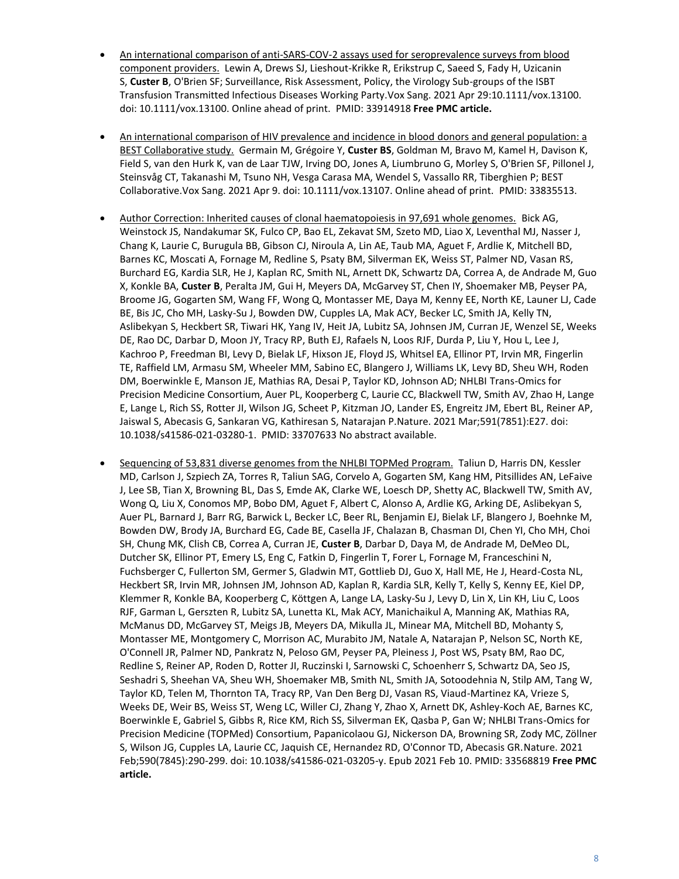- [An international comparison of anti-SARS-COV-2 assays used for seroprevalence surveys from blood](https://pubmed.ncbi.nlm.nih.gov/33914918/)  [component providers.](https://pubmed.ncbi.nlm.nih.gov/33914918/) Lewin A, Drews SJ, Lieshout-Krikke R, Erikstrup C, Saeed S, Fady H, Uzicanin S, **Custer B**, O'Brien SF; Surveillance, Risk Assessment, Policy, the Virology Sub-groups of the ISBT Transfusion Transmitted Infectious Diseases Working Party.Vox Sang. 2021 Apr 29:10.1111/vox.13100. doi: 10.1111/vox.13100. Online ahead of print. PMID: 33914918 **Free PMC article.**
- [An international comparison of HIV prevalence and incidence in blood donors and general population: a](https://pubmed.ncbi.nlm.nih.gov/33835513/)  [BEST Collaborative study.](https://pubmed.ncbi.nlm.nih.gov/33835513/) Germain M, Grégoire Y, **Custer BS**, Goldman M, Bravo M, Kamel H, Davison K, Field S, van den Hurk K, van de Laar TJW, Irving DO, Jones A, Liumbruno G, Morley S, O'Brien SF, Pillonel J, Steinsvåg CT, Takanashi M, Tsuno NH, Vesga Carasa MA, Wendel S, Vassallo RR, Tiberghien P; BEST Collaborative.Vox Sang. 2021 Apr 9. doi: 10.1111/vox.13107. Online ahead of print. PMID: 33835513.
- Author Correction: [Inherited causes of clonal haematopoiesis in 97,691 whole genomes.](https://pubmed.ncbi.nlm.nih.gov/33707633/) Bick AG, Weinstock JS, Nandakumar SK, Fulco CP, Bao EL, Zekavat SM, Szeto MD, Liao X, Leventhal MJ, Nasser J, Chang K, Laurie C, Burugula BB, Gibson CJ, Niroula A, Lin AE, Taub MA, Aguet F, Ardlie K, Mitchell BD, Barnes KC, Moscati A, Fornage M, Redline S, Psaty BM, Silverman EK, Weiss ST, Palmer ND, Vasan RS, Burchard EG, Kardia SLR, He J, Kaplan RC, Smith NL, Arnett DK, Schwartz DA, Correa A, de Andrade M, Guo X, Konkle BA, **Custer B**, Peralta JM, Gui H, Meyers DA, McGarvey ST, Chen IY, Shoemaker MB, Peyser PA, Broome JG, Gogarten SM, Wang FF, Wong Q, Montasser ME, Daya M, Kenny EE, North KE, Launer LJ, Cade BE, Bis JC, Cho MH, Lasky-Su J, Bowden DW, Cupples LA, Mak ACY, Becker LC, Smith JA, Kelly TN, Aslibekyan S, Heckbert SR, Tiwari HK, Yang IV, Heit JA, Lubitz SA, Johnsen JM, Curran JE, Wenzel SE, Weeks DE, Rao DC, Darbar D, Moon JY, Tracy RP, Buth EJ, Rafaels N, Loos RJF, Durda P, Liu Y, Hou L, Lee J, Kachroo P, Freedman BI, Levy D, Bielak LF, Hixson JE, Floyd JS, Whitsel EA, Ellinor PT, Irvin MR, Fingerlin TE, Raffield LM, Armasu SM, Wheeler MM, Sabino EC, Blangero J, Williams LK, Levy BD, Sheu WH, Roden DM, Boerwinkle E, Manson JE, Mathias RA, Desai P, Taylor KD, Johnson AD; NHLBI Trans-Omics for Precision Medicine Consortium, Auer PL, Kooperberg C, Laurie CC, Blackwell TW, Smith AV, Zhao H, Lange E, Lange L, Rich SS, Rotter JI, Wilson JG, Scheet P, Kitzman JO, Lander ES, Engreitz JM, Ebert BL, Reiner AP, Jaiswal S, Abecasis G, Sankaran VG, Kathiresan S, Natarajan P.Nature. 2021 Mar;591(7851):E27. doi: 10.1038/s41586-021-03280-1. PMID: 33707633 No abstract available.
- [Sequencing of 53,831 diverse genomes from the NHLBI TOPMed Program.](https://pubmed.ncbi.nlm.nih.gov/33568819/) Taliun D, Harris DN, Kessler MD, Carlson J, Szpiech ZA, Torres R, Taliun SAG, Corvelo A, Gogarten SM, Kang HM, Pitsillides AN, LeFaive J, Lee SB, Tian X, Browning BL, Das S, Emde AK, Clarke WE, Loesch DP, Shetty AC, Blackwell TW, Smith AV, Wong Q, Liu X, Conomos MP, Bobo DM, Aguet F, Albert C, Alonso A, Ardlie KG, Arking DE, Aslibekyan S, Auer PL, Barnard J, Barr RG, Barwick L, Becker LC, Beer RL, Benjamin EJ, Bielak LF, Blangero J, Boehnke M, Bowden DW, Brody JA, Burchard EG, Cade BE, Casella JF, Chalazan B, Chasman DI, Chen YI, Cho MH, Choi SH, Chung MK, Clish CB, Correa A, Curran JE, **Custer B**, Darbar D, Daya M, de Andrade M, DeMeo DL, Dutcher SK, Ellinor PT, Emery LS, Eng C, Fatkin D, Fingerlin T, Forer L, Fornage M, Franceschini N, Fuchsberger C, Fullerton SM, Germer S, Gladwin MT, Gottlieb DJ, Guo X, Hall ME, He J, Heard-Costa NL, Heckbert SR, Irvin MR, Johnsen JM, Johnson AD, Kaplan R, Kardia SLR, Kelly T, Kelly S, Kenny EE, Kiel DP, Klemmer R, Konkle BA, Kooperberg C, Köttgen A, Lange LA, Lasky-Su J, Levy D, Lin X, Lin KH, Liu C, Loos RJF, Garman L, Gerszten R, Lubitz SA, Lunetta KL, Mak ACY, Manichaikul A, Manning AK, Mathias RA, McManus DD, McGarvey ST, Meigs JB, Meyers DA, Mikulla JL, Minear MA, Mitchell BD, Mohanty S, Montasser ME, Montgomery C, Morrison AC, Murabito JM, Natale A, Natarajan P, Nelson SC, North KE, O'Connell JR, Palmer ND, Pankratz N, Peloso GM, Peyser PA, Pleiness J, Post WS, Psaty BM, Rao DC, Redline S, Reiner AP, Roden D, Rotter JI, Ruczinski I, Sarnowski C, Schoenherr S, Schwartz DA, Seo JS, Seshadri S, Sheehan VA, Sheu WH, Shoemaker MB, Smith NL, Smith JA, Sotoodehnia N, Stilp AM, Tang W, Taylor KD, Telen M, Thornton TA, Tracy RP, Van Den Berg DJ, Vasan RS, Viaud-Martinez KA, Vrieze S, Weeks DE, Weir BS, Weiss ST, Weng LC, Willer CJ, Zhang Y, Zhao X, Arnett DK, Ashley-Koch AE, Barnes KC, Boerwinkle E, Gabriel S, Gibbs R, Rice KM, Rich SS, Silverman EK, Qasba P, Gan W; NHLBI Trans-Omics for Precision Medicine (TOPMed) Consortium, Papanicolaou GJ, Nickerson DA, Browning SR, Zody MC, Zöllner S, Wilson JG, Cupples LA, Laurie CC, Jaquish CE, Hernandez RD, O'Connor TD, Abecasis GR.Nature. 2021 Feb;590(7845):290-299. doi: 10.1038/s41586-021-03205-y. Epub 2021 Feb 10. PMID: 33568819 **Free PMC article.**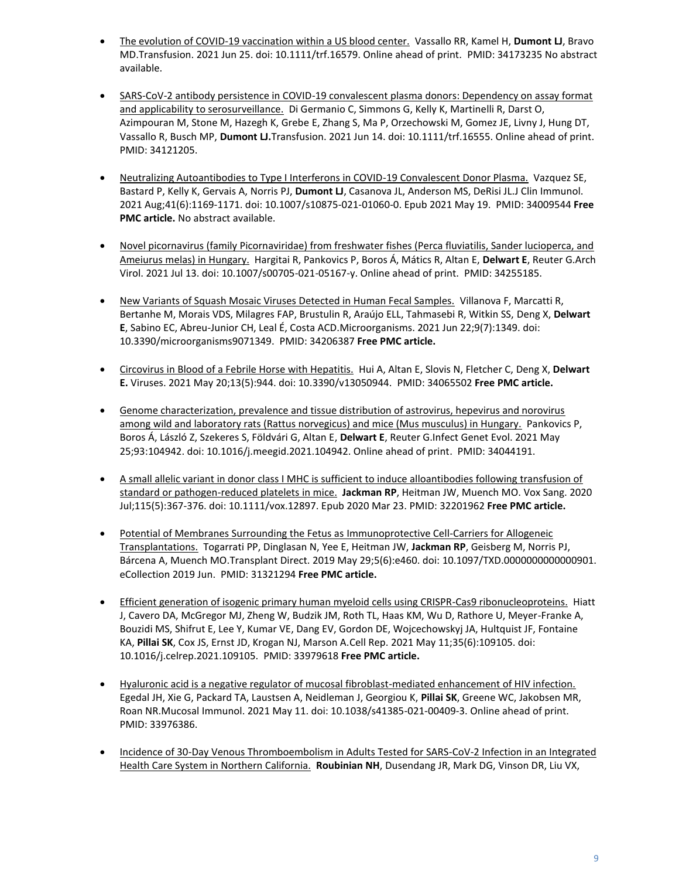- [The evolution of COVID-19 vaccination within a US blood center.](https://pubmed.ncbi.nlm.nih.gov/34173235/) Vassallo RR, Kamel H, **Dumont LJ**, Bravo MD.Transfusion. 2021 Jun 25. doi: 10.1111/trf.16579. Online ahead of print. PMID: 34173235 No abstract available.
- [SARS-CoV-2 antibody persistence in COVID-19 convalescent plasma donors: Dependency on assay format](https://pubmed.ncbi.nlm.nih.gov/34121205/)  [and applicability to serosurveillance.](https://pubmed.ncbi.nlm.nih.gov/34121205/) Di Germanio C, Simmons G, Kelly K, Martinelli R, Darst O, Azimpouran M, Stone M, Hazegh K, Grebe E, Zhang S, Ma P, Orzechowski M, Gomez JE, Livny J, Hung DT, Vassallo R, Busch MP, **Dumont LJ.**Transfusion. 2021 Jun 14. doi: 10.1111/trf.16555. Online ahead of print. PMID: 34121205.
- [Neutralizing Autoantibodies to Type I Interferons in COVID-19 Convalescent Donor Plasma.](https://pubmed.ncbi.nlm.nih.gov/34009544/) Vazquez SE, Bastard P, Kelly K, Gervais A, Norris PJ, **Dumont LJ**, Casanova JL, Anderson MS, DeRisi JL.J Clin Immunol. 2021 Aug;41(6):1169-1171. doi: 10.1007/s10875-021-01060-0. Epub 2021 May 19. PMID: 34009544 **Free PMC article.** No abstract available.
- [Novel picornavirus \(family Picornaviridae\) from freshwater fishes \(Perca fluviatilis, Sander lucioperca, and](https://pubmed.ncbi.nlm.nih.gov/34255185/)  [Ameiurus melas\) in Hungary.](https://pubmed.ncbi.nlm.nih.gov/34255185/) Hargitai R, Pankovics P, Boros Á, Mátics R, Altan E, **Delwart E**, Reuter G.Arch Virol. 2021 Jul 13. doi: 10.1007/s00705-021-05167-y. Online ahead of print. PMID: 34255185.
- [New Variants of Squash Mosaic Viruses Detected in Human Fecal Samples.](https://pubmed.ncbi.nlm.nih.gov/34206387/) Villanova F, Marcatti R, Bertanhe M, Morais VDS, Milagres FAP, Brustulin R, Araújo ELL, Tahmasebi R, Witkin SS, Deng X, **Delwart E**, Sabino EC, Abreu-Junior CH, Leal É, Costa ACD.Microorganisms. 2021 Jun 22;9(7):1349. doi: 10.3390/microorganisms9071349. PMID: 34206387 **Free PMC article.**
- [Circovirus in Blood of a Febrile Horse with Hepatitis.](https://pubmed.ncbi.nlm.nih.gov/34065502/) Hui A, Altan E, Slovis N, Fletcher C, Deng X, **Delwart E.** Viruses. 2021 May 20;13(5):944. doi: 10.3390/v13050944. PMID: 34065502 **Free PMC article.**
- [Genome characterization, prevalence and tissue distribution of astrovirus, hepevirus and norovirus](https://pubmed.ncbi.nlm.nih.gov/34044191/)  [among wild and laboratory rats \(Rattus norvegicus\) and mice \(Mus musculus\) in Hungary.](https://pubmed.ncbi.nlm.nih.gov/34044191/) Pankovics P, Boros Á, László Z, Szekeres S, Földvári G, Altan E, **Delwart E**, Reuter G.Infect Genet Evol. 2021 May 25;93:104942. doi: 10.1016/j.meegid.2021.104942. Online ahead of print. PMID: 34044191.
- A small allelic variant in donor [class I MHC is sufficient to induce alloantibodies following transfusion of](https://pubmed.ncbi.nlm.nih.gov/32201962/)  [standard or pathogen-reduced platelets in mice.](https://pubmed.ncbi.nlm.nih.gov/32201962/) **Jackman RP**, Heitman JW, Muench MO. Vox Sang. 2020 Jul;115(5):367-376. doi: 10.1111/vox.12897. Epub 2020 Mar 23. PMID: 32201962 **Free PMC article.**
- [Potential of Membranes Surrounding the Fetus as Immunoprotective Cell-Carriers for Allogeneic](https://pubmed.ncbi.nlm.nih.gov/31321294/)  [Transplantations.](https://pubmed.ncbi.nlm.nih.gov/31321294/) Togarrati PP, Dinglasan N, Yee E, Heitman JW, **Jackman RP**, Geisberg M, Norris PJ, Bárcena A, Muench MO.Transplant Direct. 2019 May 29;5(6):e460. doi: 10.1097/TXD.0000000000000901. eCollection 2019 Jun. PMID: 31321294 **Free PMC article.**
- [Efficient generation of isogenic primary human myeloid cells using CRISPR-Cas9 ribonucleoproteins.](https://pubmed.ncbi.nlm.nih.gov/33979618/) Hiatt J, Cavero DA, McGregor MJ, Zheng W, Budzik JM, Roth TL, Haas KM, Wu D, Rathore U, Meyer-Franke A, Bouzidi MS, Shifrut E, Lee Y, Kumar VE, Dang EV, Gordon DE, Wojcechowskyj JA, Hultquist JF, Fontaine KA, **Pillai SK**, Cox JS, Ernst JD, Krogan NJ, Marson A.Cell Rep. 2021 May 11;35(6):109105. doi: 10.1016/j.celrep.2021.109105. PMID: 33979618 **Free PMC article.**
- [Hyaluronic acid is a negative regulator of mucosal fibroblast-mediated enhancement of HIV infection.](https://pubmed.ncbi.nlm.nih.gov/33976386/)  Egedal JH, Xie G, Packard TA, Laustsen A, Neidleman J, Georgiou K, **Pillai SK**, Greene WC, Jakobsen MR, Roan NR.Mucosal Immunol. 2021 May 11. doi: 10.1038/s41385-021-00409-3. Online ahead of print. PMID: 33976386.
- [Incidence of 30-Day Venous Thromboembolism in Adults Tested for SARS-CoV-2 Infection in an Integrated](https://pubmed.ncbi.nlm.nih.gov/33818615/)  [Health Care System in Northern California.](https://pubmed.ncbi.nlm.nih.gov/33818615/) **Roubinian NH**, Dusendang JR, Mark DG, Vinson DR, Liu VX,